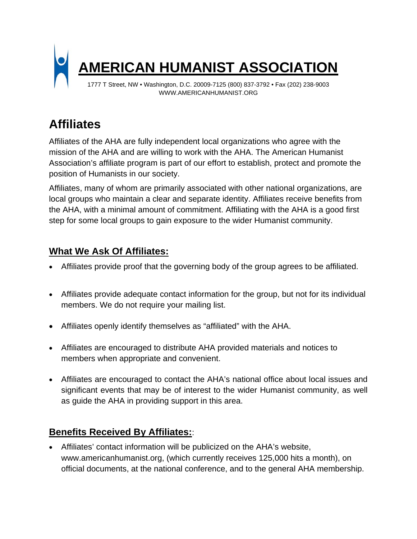

WWW.AMERICANHUMANIST.ORG

## **Affiliates**

Affiliates of the AHA are fully independent local organizations who agree with the mission of the AHA and are willing to work with the AHA. The American Humanist Association's affiliate program is part of our effort to establish, protect and promote the position of Humanists in our society.

Affiliates, many of whom are primarily associated with other national organizations, are local groups who maintain a clear and separate identity. Affiliates receive benefits from the AHA, with a minimal amount of commitment. Affiliating with the AHA is a good first step for some local groups to gain exposure to the wider Humanist community.

## **What We Ask Of Affiliates:**

- Affiliates provide proof that the governing body of the group agrees to be affiliated.
- Affiliates provide adequate contact information for the group, but not for its individual members. We do not require your mailing list.
- Affiliates openly identify themselves as "affiliated" with the AHA.
- Affiliates are encouraged to distribute AHA provided materials and notices to members when appropriate and convenient.
- Affiliates are encouraged to contact the AHA's national office about local issues and significant events that may be of interest to the wider Humanist community, as well as guide the AHA in providing support in this area.

## **Benefits Received By Affiliates:**:

 Affiliates' contact information will be publicized on the AHA's website, www.americanhumanist.org, (which currently receives 125,000 hits a month), on official documents, at the national conference, and to the general AHA membership.